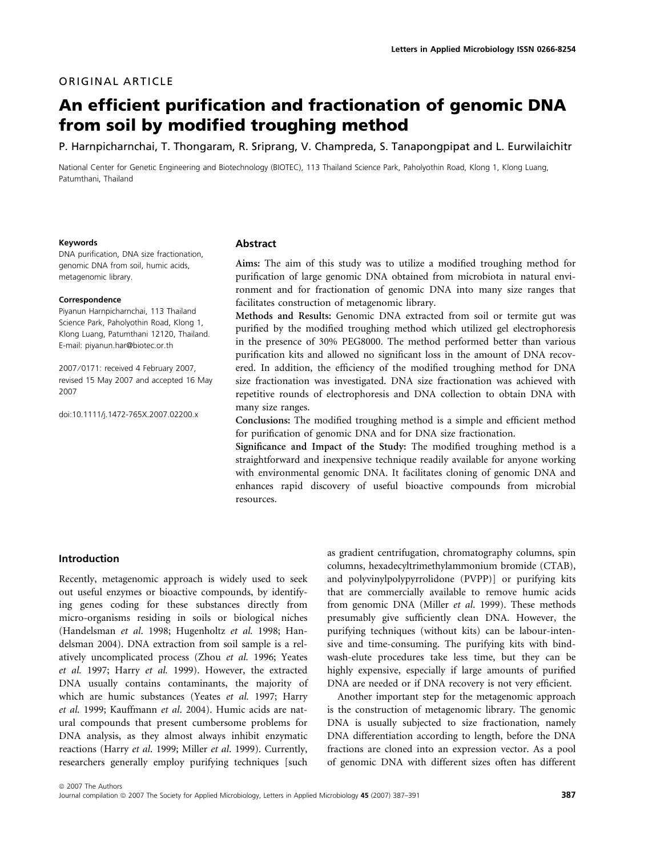## ORIGINAL ARTICLE

# An efficient purification and fractionation of genomic DNA from soil by modified troughing method

P. Harnpicharnchai, T. Thongaram, R. Sriprang, V. Champreda, S. Tanapongpipat and L. Eurwilaichitr

National Center for Genetic Engineering and Biotechnology (BIOTEC), 113 Thailand Science Park, Paholyothin Road, Klong 1, Klong Luang, Patumthani, Thailand

#### Keywords

DNA purification, DNA size fractionation, genomic DNA from soil, humic acids, metagenomic library.

#### Correspondence

Piyanun Harnpicharnchai, 113 Thailand Science Park, Paholyothin Road, Klong 1, Klong Luang, Patumthani 12120, Thailand. E-mail: piyanun.har@biotec.or.th

2007 ⁄ 0171: received 4 February 2007, revised 15 May 2007 and accepted 16 May 2007

doi:10.1111/j.1472-765X.2007.02200.x

#### Abstract

Aims: The aim of this study was to utilize a modified troughing method for purification of large genomic DNA obtained from microbiota in natural environment and for fractionation of genomic DNA into many size ranges that facilitates construction of metagenomic library.

Methods and Results: Genomic DNA extracted from soil or termite gut was purified by the modified troughing method which utilized gel electrophoresis in the presence of 30% PEG8000. The method performed better than various purification kits and allowed no significant loss in the amount of DNA recovered. In addition, the efficiency of the modified troughing method for DNA size fractionation was investigated. DNA size fractionation was achieved with repetitive rounds of electrophoresis and DNA collection to obtain DNA with many size ranges.

Conclusions: The modified troughing method is a simple and efficient method for purification of genomic DNA and for DNA size fractionation.

Significance and Impact of the Study: The modified troughing method is a straightforward and inexpensive technique readily available for anyone working with environmental genomic DNA. It facilitates cloning of genomic DNA and enhances rapid discovery of useful bioactive compounds from microbial resources.

#### Introduction

Recently, metagenomic approach is widely used to seek out useful enzymes or bioactive compounds, by identifying genes coding for these substances directly from micro-organisms residing in soils or biological niches (Handelsman et al. 1998; Hugenholtz et al. 1998; Handelsman 2004). DNA extraction from soil sample is a relatively uncomplicated process (Zhou et al. 1996; Yeates et al. 1997; Harry et al. 1999). However, the extracted DNA usually contains contaminants, the majority of which are humic substances (Yeates et al. 1997; Harry et al. 1999; Kauffmann et al. 2004). Humic acids are natural compounds that present cumbersome problems for DNA analysis, as they almost always inhibit enzymatic reactions (Harry et al. 1999; Miller et al. 1999). Currently, researchers generally employ purifying techniques [such

as gradient centrifugation, chromatography columns, spin columns, hexadecyltrimethylammonium bromide (CTAB), and polyvinylpolypyrrolidone (PVPP)] or purifying kits that are commercially available to remove humic acids from genomic DNA (Miller et al. 1999). These methods presumably give sufficiently clean DNA. However, the purifying techniques (without kits) can be labour-intensive and time-consuming. The purifying kits with bindwash-elute procedures take less time, but they can be highly expensive, especially if large amounts of purified DNA are needed or if DNA recovery is not very efficient.

Another important step for the metagenomic approach is the construction of metagenomic library. The genomic DNA is usually subjected to size fractionation, namely DNA differentiation according to length, before the DNA fractions are cloned into an expression vector. As a pool of genomic DNA with different sizes often has different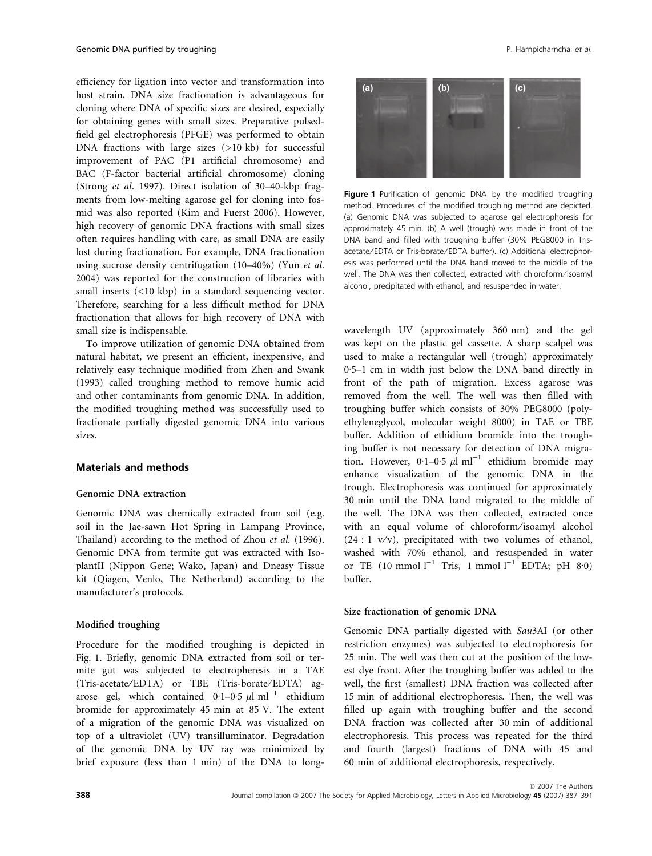efficiency for ligation into vector and transformation into host strain, DNA size fractionation is advantageous for cloning where DNA of specific sizes are desired, especially for obtaining genes with small sizes. Preparative pulsedfield gel electrophoresis (PFGE) was performed to obtain DNA fractions with large sizes (>10 kb) for successful improvement of PAC (P1 artificial chromosome) and BAC (F-factor bacterial artificial chromosome) cloning (Strong et al. 1997). Direct isolation of 30–40-kbp fragments from low-melting agarose gel for cloning into fosmid was also reported (Kim and Fuerst 2006). However, high recovery of genomic DNA fractions with small sizes often requires handling with care, as small DNA are easily lost during fractionation. For example, DNA fractionation using sucrose density centrifugation (10–40%) (Yun et al. 2004) was reported for the construction of libraries with small inserts (<10 kbp) in a standard sequencing vector. Therefore, searching for a less difficult method for DNA fractionation that allows for high recovery of DNA with small size is indispensable.

To improve utilization of genomic DNA obtained from natural habitat, we present an efficient, inexpensive, and relatively easy technique modified from Zhen and Swank (1993) called troughing method to remove humic acid and other contaminants from genomic DNA. In addition, the modified troughing method was successfully used to fractionate partially digested genomic DNA into various sizes.

## Materials and methods

## Genomic DNA extraction

Genomic DNA was chemically extracted from soil (e.g. soil in the Jae-sawn Hot Spring in Lampang Province, Thailand) according to the method of Zhou et al. (1996). Genomic DNA from termite gut was extracted with IsoplantII (Nippon Gene; Wako, Japan) and Dneasy Tissue kit (Qiagen, Venlo, The Netherland) according to the manufacturer's protocols.

## Modified troughing

Procedure for the modified troughing is depicted in Fig. 1. Briefly, genomic DNA extracted from soil or termite gut was subjected to electropheresis in a TAE (Tris-acetate/EDTA) or TBE (Tris-borate/EDTA) agarose gel, which contained  $0.1-0.5 \mu l$  ml<sup>-1</sup> ethidium bromide for approximately 45 min at 85 V. The extent of a migration of the genomic DNA was visualized on top of a ultraviolet (UV) transilluminator. Degradation of the genomic DNA by UV ray was minimized by brief exposure (less than 1 min) of the DNA to long-



Figure 1 Purification of genomic DNA by the modified troughing method. Procedures of the modified troughing method are depicted. (a) Genomic DNA was subjected to agarose gel electrophoresis for approximately 45 min. (b) A well (trough) was made in front of the DNA band and filled with troughing buffer (30% PEG8000 in Trisacetate ⁄ EDTA or Tris-borate ⁄ EDTA buffer). (c) Additional electrophoresis was performed until the DNA band moved to the middle of the well. The DNA was then collected, extracted with chloroform/isoamyl alcohol, precipitated with ethanol, and resuspended in water.

wavelength UV (approximately 360 nm) and the gel was kept on the plastic gel cassette. A sharp scalpel was used to make a rectangular well (trough) approximately  $0.5-1$  cm in width just below the DNA band directly in front of the path of migration. Excess agarose was removed from the well. The well was then filled with troughing buffer which consists of 30% PEG8000 (polyethyleneglycol, molecular weight 8000) in TAE or TBE buffer. Addition of ethidium bromide into the troughing buffer is not necessary for detection of DNA migration. However, 0.1–0.5  $\mu$ l ml<sup>-1</sup> ethidium bromide may enhance visualization of the genomic DNA in the trough. Electrophoresis was continued for approximately 30 min until the DNA band migrated to the middle of the well. The DNA was then collected, extracted once with an equal volume of chloroform/isoamyl alcohol  $(24:1 \text{ v/v})$ , precipitated with two volumes of ethanol, washed with 70% ethanol, and resuspended in water or TE  $(10 \text{ mmol } l^{-1}$  Tris, 1 mmol  $l^{-1}$  EDTA; pH 8.0) buffer.

#### Size fractionation of genomic DNA

Genomic DNA partially digested with Sau3AI (or other restriction enzymes) was subjected to electrophoresis for 25 min. The well was then cut at the position of the lowest dye front. After the troughing buffer was added to the well, the first (smallest) DNA fraction was collected after 15 min of additional electrophoresis. Then, the well was filled up again with troughing buffer and the second DNA fraction was collected after 30 min of additional electrophoresis. This process was repeated for the third and fourth (largest) fractions of DNA with 45 and 60 min of additional electrophoresis, respectively.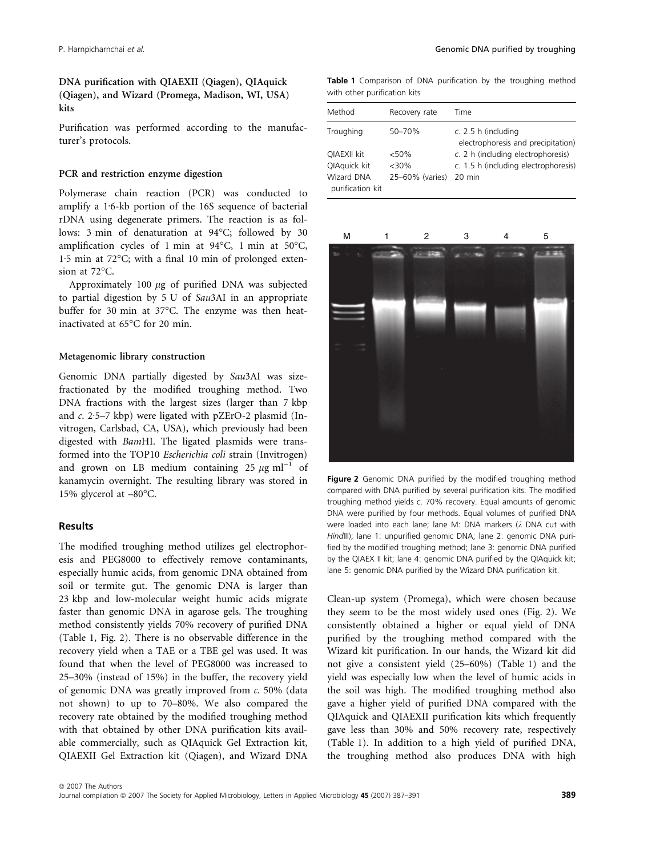DNA purification with QIAEXII (Qiagen), QIAquick (Qiagen), and Wizard (Promega, Madison, WI, USA) kits

Purification was performed according to the manufacturer's protocols.

## PCR and restriction enzyme digestion

Polymerase chain reaction (PCR) was conducted to amplify a 1.6-kb portion of the 16S sequence of bacterial rDNA using degenerate primers. The reaction is as follows: 3 min of denaturation at 94°C; followed by 30 amplification cycles of 1 min at  $94^{\circ}$ C, 1 min at 50 $^{\circ}$ C,  $1.5$  min at  $72^{\circ}$ C; with a final 10 min of prolonged extension at  $72^{\circ}$ C.

Approximately 100  $\mu$ g of purified DNA was subjected to partial digestion by 5 U of Sau3AI in an appropriate buffer for 30 min at 37°C. The enzyme was then heatinactivated at 65°C for 20 min.

## Metagenomic library construction

Genomic DNA partially digested by Sau3AI was sizefractionated by the modified troughing method. Two DNA fractions with the largest sizes (larger than 7 kbp and  $c$ . 2.5–7 kbp) were ligated with pZErO-2 plasmid (Invitrogen, Carlsbad, CA, USA), which previously had been digested with BamHI. The ligated plasmids were transformed into the TOP10 Escherichia coli strain (Invitrogen) and grown on LB medium containing 25  $\mu$ g ml<sup>-1</sup> of kanamycin overnight. The resulting library was stored in 15% glycerol at  $-80^{\circ}$ C.

#### Results

The modified troughing method utilizes gel electrophoresis and PEG8000 to effectively remove contaminants, especially humic acids, from genomic DNA obtained from soil or termite gut. The genomic DNA is larger than 23 kbp and low-molecular weight humic acids migrate faster than genomic DNA in agarose gels. The troughing method consistently yields 70% recovery of purified DNA (Table 1, Fig. 2). There is no observable difference in the recovery yield when a TAE or a TBE gel was used. It was found that when the level of PEG8000 was increased to 25–30% (instead of 15%) in the buffer, the recovery yield of genomic DNA was greatly improved from c. 50% (data not shown) to up to 70–80%. We also compared the recovery rate obtained by the modified troughing method with that obtained by other DNA purification kits available commercially, such as QIAquick Gel Extraction kit, QIAEXII Gel Extraction kit (Qiagen), and Wizard DNA

Table 1 Comparison of DNA purification by the troughing method with other purification kits

| Method                                | Recovery rate   | Time                                                      |
|---------------------------------------|-----------------|-----------------------------------------------------------|
| Troughing                             | 50-70%          | c. 2.5 h (including<br>electrophoresis and precipitation) |
| <b>QIAEXII kit</b>                    | < 50%           | c. 2 h (including electrophoresis)                        |
| QIAquick kit                          | $<$ 30%         | c. 1.5 h (including electrophoresis)                      |
| <b>Wizard DNA</b><br>purification kit | 25-60% (varies) | $20 \text{ min}$                                          |



Figure 2 Genomic DNA purified by the modified troughing method compared with DNA purified by several purification kits. The modified troughing method yields c. 70% recovery. Equal amounts of genomic DNA were purified by four methods. Equal volumes of purified DNA were loaded into each lane; lane M: DNA markers  $(\lambda)$  DNA cut with HindIII); lane 1: unpurified genomic DNA; lane 2: genomic DNA purified by the modified troughing method; lane 3: genomic DNA purified by the QIAEX II kit; lane 4: genomic DNA purified by the QIAquick kit; lane 5: genomic DNA purified by the Wizard DNA purification kit.

Clean-up system (Promega), which were chosen because they seem to be the most widely used ones (Fig. 2). We consistently obtained a higher or equal yield of DNA purified by the troughing method compared with the Wizard kit purification. In our hands, the Wizard kit did not give a consistent yield (25–60%) (Table 1) and the yield was especially low when the level of humic acids in the soil was high. The modified troughing method also gave a higher yield of purified DNA compared with the QIAquick and QIAEXII purification kits which frequently gave less than 30% and 50% recovery rate, respectively (Table 1). In addition to a high yield of purified DNA, the troughing method also produces DNA with high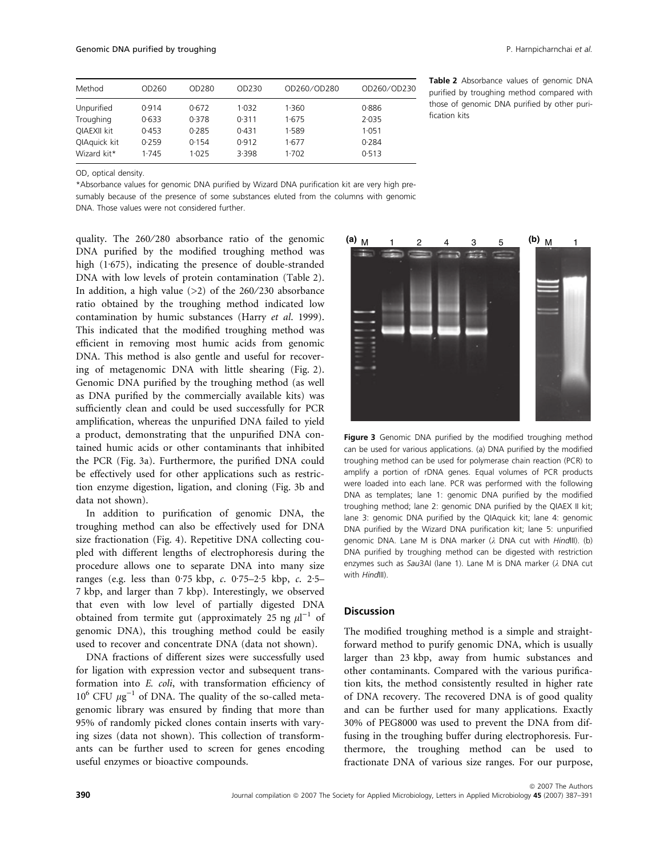| Method       | OD260 | OD280 | OD <sub>230</sub> | OD260/OD280 | OD260/OD230 |
|--------------|-------|-------|-------------------|-------------|-------------|
| Unpurified   | 0.914 | 0.672 | 1.032             | 1.360       | 0.886       |
| Troughing    | 0.633 | 0.378 | 0.311             | 1.675       | 2.035       |
| QIAEXII kit  | 0.453 | 0.285 | 0.431             | 1.589       | 1.051       |
| QIAquick kit | 0.259 | 0.154 | 0.912             | 1.677       | 0.284       |
| Wizard kit*  | 1.745 | 1.025 | 3.398             | 1.702       | 0.513       |

Table 2 Absorbance values of genomic DNA purified by troughing method compared with those of genomic DNA purified by other purification kits

OD, optical density.

\*Absorbance values for genomic DNA purified by Wizard DNA purification kit are very high presumably because of the presence of some substances eluted from the columns with genomic DNA. Those values were not considered further.

quality. The 260/280 absorbance ratio of the genomic DNA purified by the modified troughing method was high  $(1.675)$ , indicating the presence of double-stranded DNA with low levels of protein contamination (Table 2). In addition, a high value  $(>2)$  of the 260/230 absorbance ratio obtained by the troughing method indicated low contamination by humic substances (Harry et al. 1999). This indicated that the modified troughing method was efficient in removing most humic acids from genomic DNA. This method is also gentle and useful for recovering of metagenomic DNA with little shearing (Fig. 2). Genomic DNA purified by the troughing method (as well as DNA purified by the commercially available kits) was sufficiently clean and could be used successfully for PCR amplification, whereas the unpurified DNA failed to yield a product, demonstrating that the unpurified DNA contained humic acids or other contaminants that inhibited the PCR (Fig. 3a). Furthermore, the purified DNA could be effectively used for other applications such as restriction enzyme digestion, ligation, and cloning (Fig. 3b and data not shown).

In addition to purification of genomic DNA, the troughing method can also be effectively used for DNA size fractionation (Fig. 4). Repetitive DNA collecting coupled with different lengths of electrophoresis during the procedure allows one to separate DNA into many size ranges (e.g. less than  $0.75$  kbp, c.  $0.75-2.5$  kbp, c.  $2.5-$ 7 kbp, and larger than 7 kbp). Interestingly, we observed that even with low level of partially digested DNA obtained from termite gut (approximately 25 ng  $\mu$ l<sup>-1</sup> of genomic DNA), this troughing method could be easily used to recover and concentrate DNA (data not shown).

DNA fractions of different sizes were successfully used for ligation with expression vector and subsequent transformation into E. coli, with transformation efficiency of  $10^6$  CFU  $\mu$ g<sup>-1</sup> of DNA. The quality of the so-called metagenomic library was ensured by finding that more than 95% of randomly picked clones contain inserts with varying sizes (data not shown). This collection of transformants can be further used to screen for genes encoding useful enzymes or bioactive compounds.



Figure 3 Genomic DNA purified by the modified troughing method can be used for various applications. (a) DNA purified by the modified troughing method can be used for polymerase chain reaction (PCR) to amplify a portion of rDNA genes. Equal volumes of PCR products were loaded into each lane. PCR was performed with the following DNA as templates; lane 1: genomic DNA purified by the modified troughing method; lane 2: genomic DNA purified by the QIAEX II kit; lane 3: genomic DNA purified by the QIAquick kit; lane 4: genomic DNA purified by the Wizard DNA purification kit; lane 5: unpurified genomic DNA. Lane M is DNA marker  $(\lambda$  DNA cut with HindIII). (b) DNA purified by troughing method can be digested with restriction enzymes such as Sau3AI (lane 1). Lane M is DNA marker ( $\lambda$  DNA cut with HindIII)

#### Discussion

The modified troughing method is a simple and straightforward method to purify genomic DNA, which is usually larger than 23 kbp, away from humic substances and other contaminants. Compared with the various purification kits, the method consistently resulted in higher rate of DNA recovery. The recovered DNA is of good quality and can be further used for many applications. Exactly 30% of PEG8000 was used to prevent the DNA from diffusing in the troughing buffer during electrophoresis. Furthermore, the troughing method can be used to fractionate DNA of various size ranges. For our purpose,